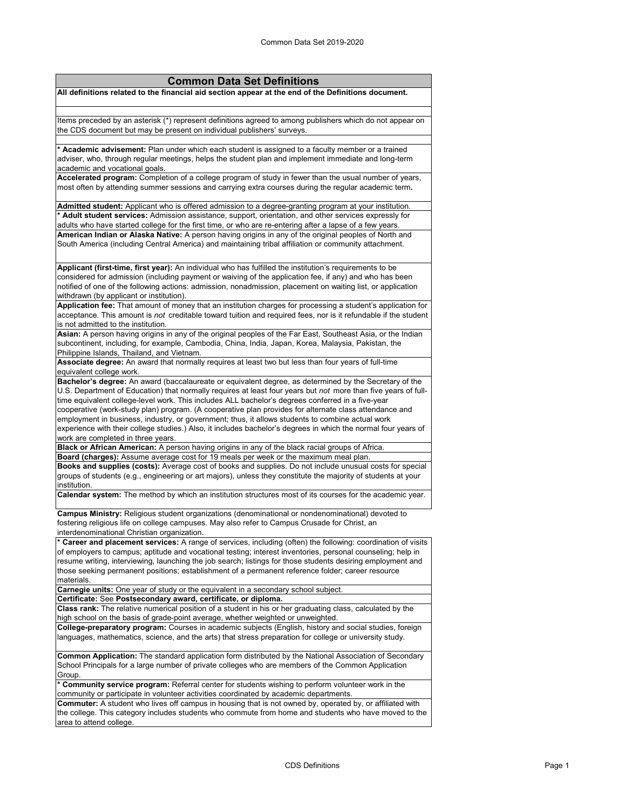| <b>Common Data Set Definitions</b>                                                                                                                                                                                              |
|---------------------------------------------------------------------------------------------------------------------------------------------------------------------------------------------------------------------------------|
| All definitions related to the financial aid section appear at the end of the Definitions document.                                                                                                                             |
|                                                                                                                                                                                                                                 |
| Items preceded by an asterisk (*) represent definitions agreed to among publishers which do not appear on                                                                                                                       |
| the CDS document but may be present on individual publishers' surveys.                                                                                                                                                          |
|                                                                                                                                                                                                                                 |
| * Academic advisement: Plan under which each student is assigned to a faculty member or a trained<br>adviser, who, through regular meetings, helps the student plan and implement immediate and long-term                       |
| academic and vocational goals.                                                                                                                                                                                                  |
| Accelerated program: Completion of a college program of study in fewer than the usual number of years,                                                                                                                          |
| most often by attending summer sessions and carrying extra courses during the regular academic term.                                                                                                                            |
| Admitted student: Applicant who is offered admission to a degree-granting program at your institution.                                                                                                                          |
| * Adult student services: Admission assistance, support, orientation, and other services expressly for                                                                                                                          |
| adults who have started college for the first time, or who are re-entering after a lapse of a few years.                                                                                                                        |
| American Indian or Alaska Native: A person having origins in any of the original peoples of North and<br>South America (including Central America) and maintaining tribal affiliation or community attachment.                  |
|                                                                                                                                                                                                                                 |
| <b>Applicant (first-time, first year):</b> An individual who has fulfilled the institution's requirements to be                                                                                                                 |
| considered for admission (including payment or waiving of the application fee, if any) and who has been                                                                                                                         |
| notified of one of the following actions: admission, nonadmission, placement on waiting list, or application                                                                                                                    |
| withdrawn (by applicant or institution).                                                                                                                                                                                        |
| Application fee: That amount of money that an institution charges for processing a student's application for<br>acceptance. This amount is not creditable toward tuition and required fees, nor is it refundable if the student |
| is not admitted to the institution.                                                                                                                                                                                             |
| Asian: A person having origins in any of the original peoples of the Far East, Southeast Asia, or the Indian                                                                                                                    |
| subcontinent, including, for example, Cambodia, China, India, Japan, Korea, Malaysia, Pakistan, the                                                                                                                             |
| Philippine Islands, Thailand, and Vietnam.<br>Associate degree: An award that normally requires at least two but less than four years of full-time                                                                              |
| equivalent college work.                                                                                                                                                                                                        |
| Bachelor's degree: An award (baccalaureate or equivalent degree, as determined by the Secretary of the                                                                                                                          |
| U.S. Department of Education) that normally requires at least four years but not more than five years of full-                                                                                                                  |
| time equivalent college-level work. This includes ALL bachelor's degrees conferred in a five-year                                                                                                                               |
| cooperative (work-study plan) program. (A cooperative plan provides for alternate class attendance and                                                                                                                          |
| employment in business, industry, or government; thus, it allows students to combine actual work<br>experience with their college studies.) Also, it includes bachelor's degrees in which the normal four years of              |
| work are completed in three years.                                                                                                                                                                                              |
| Black or African American: A person having origins in any of the black racial groups of Africa.                                                                                                                                 |
| Board (charges): Assume average cost for 19 meals per week or the maximum meal plan.                                                                                                                                            |
| Books and supplies (costs): Average cost of books and supplies. Do not include unusual costs for special<br>groups of students (e.g., engineering or art majors), unless they constitute the majority of students at your       |
| institution.                                                                                                                                                                                                                    |
| Calendar system: The method by which an institution structures most of its courses for the academic year.                                                                                                                       |
| Campus Ministry: Religious student organizations (denominational or nondenominational) devoted to                                                                                                                               |
| fostering religious life on college campuses. May also refer to Campus Crusade for Christ, an                                                                                                                                   |
| interdenominational Christian organization.                                                                                                                                                                                     |
| * Career and placement services: A range of services, including (often) the following: coordination of visits<br>of employers to campus; aptitude and vocational testing; interest inventories, personal counseling; help in    |
| resume writing, interviewing, launching the job search; listings for those students desiring employment and                                                                                                                     |
| those seeking permanent positions; establishment of a permanent reference folder; career resource                                                                                                                               |
| materials.                                                                                                                                                                                                                      |
| Carnegie units: One year of study or the equivalent in a secondary school subject.<br>Certificate: See Postsecondary award, certificate, or diploma.                                                                            |
| Class rank: The relative numerical position of a student in his or her graduating class, calculated by the                                                                                                                      |
| high school on the basis of grade-point average, whether weighted or unweighted.                                                                                                                                                |
| College-preparatory program: Courses in academic subjects (English, history and social studies, foreign                                                                                                                         |
| languages, mathematics, science, and the arts) that stress preparation for college or university study.                                                                                                                         |
| Common Application: The standard application form distributed by the National Association of Secondary                                                                                                                          |
| School Principals for a large number of private colleges who are members of the Common Application                                                                                                                              |
| Group.                                                                                                                                                                                                                          |
| * Community service program: Referral center for students wishing to perform volunteer work in the                                                                                                                              |
| community or participate in volunteer activities coordinated by academic departments.<br>Commuter: A student who lives off campus in housing that is not owned by, operated by, or affiliated with                              |
| the college. This category includes students who commute from home and students who have moved to the                                                                                                                           |
| area to attend college.                                                                                                                                                                                                         |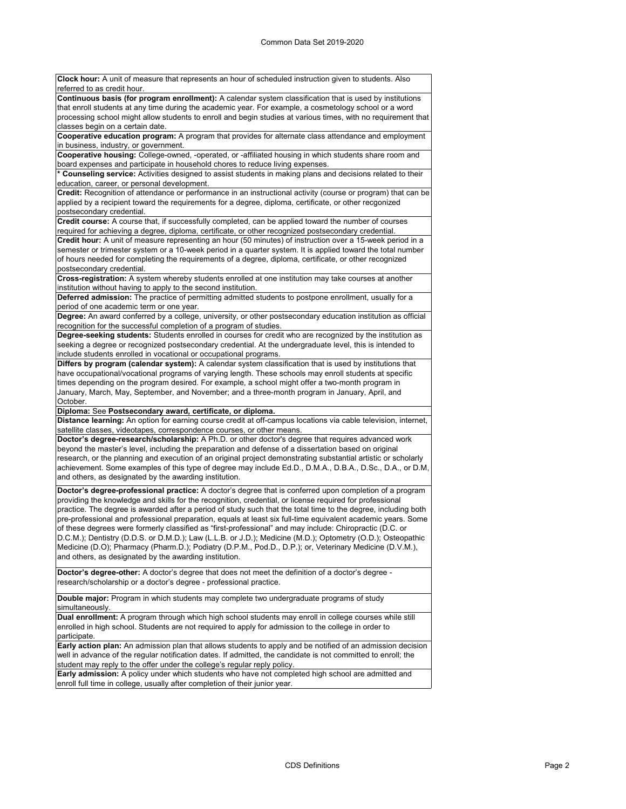**Clock hour:** A unit of measure that represents an hour of scheduled instruction given to students. Also referred to as credit hour. **Continuous basis (for program enrollment):** A calendar system classification that is used by institutions that enroll students at any time during the academic year. For example, a cosmetology school or a word processing school might allow students to enroll and begin studies at various times, with no requirement that classes begin on a certain date. **Cooperative education program:** A program that provides for alternate class attendance and employment in business, industry, or government. **Cooperative housing:** College-owned, -operated, or -affiliated housing in which students share room and board expenses and participate in household chores to reduce living expenses. **\* Counseling service:** Activities designed to assist students in making plans and decisions related to their education, career, or personal development. **Credit:** Recognition of attendance or performance in an instructional activity (course or program) that can be applied by a recipient toward the requirements for a degree, diploma, certificate, or other recgonized postsecondary credential. **Credit course:** A course that, if successfully completed, can be applied toward the number of courses required for achieving a degree, diploma, certificate, or other recognized postsecondary credential. **Credit hour:** A unit of measure representing an hour (50 minutes) of instruction over a 15-week period in a semester or trimester system or a 10-week period in a quarter system. It is applied toward the total number of hours needed for completing the requirements of a degree, diploma, certificate, or other recognized postsecondary credential. **Cross-registration:** A system whereby students enrolled at one institution may take courses at another institution without having to apply to the second institution. **Deferred admission:** The practice of permitting admitted students to postpone enrollment, usually for a period of one academic term or one year. **Degree:** An award conferred by a college, university, or other postsecondary education institution as official recognition for the successful completion of a program of studies. **Degree-seeking students:** Students enrolled in courses for credit who are recognized by the institution as seeking a degree or recognized postsecondary credential. At the undergraduate level, this is intended to include students enrolled in vocational or occupational programs. **Differs by program (calendar system):** A calendar system classification that is used by institutions that have occupational/vocational programs of varying length. These schools may enroll students at specific times depending on the program desired. For example, a school might offer a two-month program in January, March, May, September, and November; and a three-month program in January, April, and October. **Diploma:** See **Postsecondary award, certificate, or diploma. Distance learning:** An option for earning course credit at off-campus locations via cable television, internet, satellite classes, videotapes, correspondence courses, or other means. **Doctor's degree-research/scholarship:** A Ph.D. or other doctor's degree that requires advanced work beyond the master's level, including the preparation and defense of a dissertation based on original research, or the planning and execution of an original project demonstrating substantial artistic or scholarly achievement. Some examples of this type of degree may include Ed.D., D.M.A., D.B.A., D.Sc., D.A., or D.M, and others, as designated by the awarding institution. **Doctor's degree-professional practice:** A doctor's degree that is conferred upon completion of a program providing the knowledge and skills for the recognition, credential, or license required for professional practice. The degree is awarded after a period of study such that the total time to the degree, including both pre-professional and professional preparation, equals at least six full-time equivalent academic years. Some of these degrees were formerly classified as "first-professional" and may include: Chiropractic (D.C. or D.C.M.); Dentistry (D.D.S. or D.M.D.); Law (L.L.B. or J.D.); Medicine (M.D.); Optometry (O.D.); Osteopathic Medicine (D.O); Pharmacy (Pharm.D.); Podiatry (D.P.M., Pod.D., D.P.); or, Veterinary Medicine (D.V.M.), and others, as designated by the awarding institution. **Doctor's degree-other:** A doctor's degree that does not meet the definition of a doctor's degree research/scholarship or a doctor's degree - professional practice.

**Double major:** Program in which students may complete two undergraduate programs of study simultaneously.

**Dual enrollment:** A program through which high school students may enroll in college courses while still enrolled in high school. Students are not required to apply for admission to the college in order to participate.

**Early action plan:** An admission plan that allows students to apply and be notified of an admission decision well in advance of the regular notification dates. If admitted, the candidate is not committed to enroll; the student may reply to the offer under the college's regular reply policy.

**Early admission:** A policy under which students who have not completed high school are admitted and enroll full time in college, usually after completion of their junior year.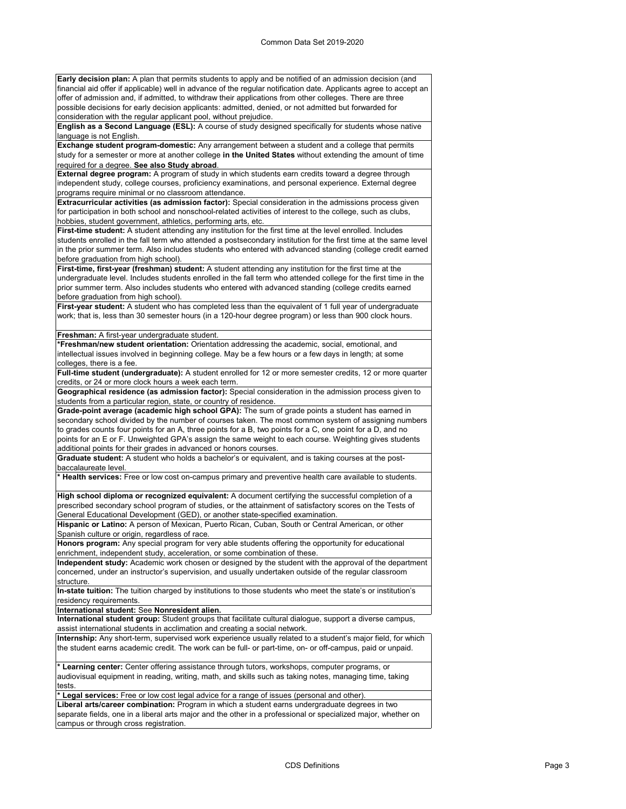**Early decision plan:** A plan that permits students to apply and be notified of an admission decision (and financial aid offer if applicable) well in advance of the regular notification date. Applicants agree to accept an offer of admission and, if admitted, to withdraw their applications from other colleges. There are three possible decisions for early decision applicants: admitted, denied, or not admitted but forwarded for consideration with the regular applicant pool, without prejudice.

**English as a Second Language (ESL):** A course of study designed specifically for students whose native language is not English.

**Exchange student program-domestic:** Any arrangement between a student and a college that permits study for a semester or more at another college **in the United States** without extending the amount of time required for a degree. **See also Study abroad**.

**External degree program:** A program of study in which students earn credits toward a degree through independent study, college courses, proficiency examinations, and personal experience. External degree programs require minimal or no classroom attendance.

**Extracurricular activities (as admission factor):** Special consideration in the admissions process given for participation in both school and nonschool-related activities of interest to the college, such as clubs, hobbies, student government, athletics, performing arts, etc.

First-time student: A student attending any institution for the first time at the level enrolled. Includes students enrolled in the fall term who attended a postsecondary institution for the first time at the same level in the prior summer term. Also includes students who entered with advanced standing (college credit earned before graduation from high school).

**First-time, first-year (freshman) student:** A student attending any institution for the first time at the undergraduate level. Includes students enrolled in the fall term who attended college for the first time in the prior summer term. Also includes students who entered with advanced standing (college credits earned before graduation from high school)

**First-year student:** A student who has completed less than the equivalent of 1 full year of undergraduate work; that is, less than 30 semester hours (in a 120-hour degree program) or less than 900 clock hours.

**Freshman:** A first-year undergraduate student.

**\*Freshman/new student orientation:** Orientation addressing the academic, social, emotional, and intellectual issues involved in beginning college. May be a few hours or a few days in length; at some colleges, there is a fee.

**Full-time student (undergraduate):** A student enrolled for 12 or more semester credits, 12 or more quarter credits, or 24 or more clock hours a week each term.

**Geographical residence (as admission factor):** Special consideration in the admission process given to students from a particular region, state, or country of residence.

**Grade-point average (academic high school GPA):** The sum of grade points a student has earned in secondary school divided by the number of courses taken. The most common system of assigning numbers to grades counts four points for an A, three points for a B, two points for a C, one point for a D, and no points for an E or F. Unweighted GPA's assign the same weight to each course. Weighting gives students additional points for their grades in advanced or honors courses.

**Graduate student:** A student who holds a bachelor's or equivalent, and is taking courses at the postbaccalaureate level.

**\* Health services:** Free or low cost on-campus primary and preventive health care available to students.

**High school diploma or recognized equivalent:** A document certifying the successful completion of a prescribed secondary school program of studies, or the attainment of satisfactory scores on the Tests of General Educational Development (GED), or another state-specified examination.

**Hispanic or Latino:** A person of Mexican, Puerto Rican, Cuban, South or Central American, or other Spanish culture or origin, regardless of race.

**Honors program:** Any special program for very able students offering the opportunity for educational enrichment, independent study, acceleration, or some combination of these.

**Independent study:** Academic work chosen or designed by the student with the approval of the department concerned, under an instructor's supervision, and usually undertaken outside of the regular classroom structure.

**In-state tuition:** The tuition charged by institutions to those students who meet the state's or institution's residency requirements.

**International student:** See **Nonresident alien.**

**International student group:** Student groups that facilitate cultural dialogue, support a diverse campus, assist international students in acclimation and creating a social network.

**Internship:** Any short-term, supervised work experience usually related to a student's major field, for which the student earns academic credit. The work can be full- or part-time, on- or off-campus, paid or unpaid.

**\* Learning center:** Center offering assistance through tutors, workshops, computer programs, or audiovisual equipment in reading, writing, math, and skills such as taking notes, managing time, taking tests.

**\* Legal services:** Free or low cost legal advice for a range of issues (personal and other).

**Liberal arts/career combination:** Program in which a student earns undergraduate degrees in two separate fields, one in a liberal arts major and the other in a professional or specialized major, whether on ‑ campus or through cross registration.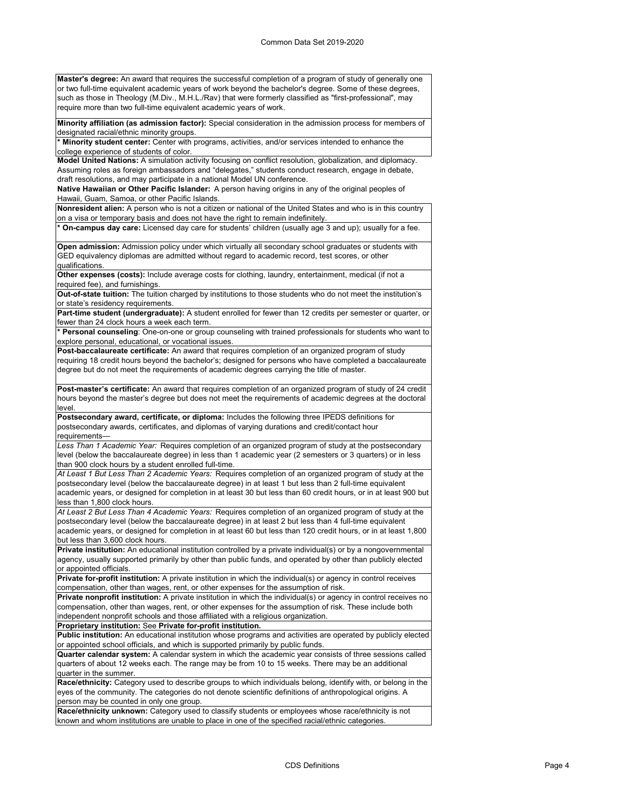**Master's degree:** An award that requires the successful completion of a program of study of generally one or two full-time equivalent academic years of work beyond the bachelor's degree. Some of these degrees, such as those in Theology (M.Div., M.H.L./Rav) that were formerly classified as "first-professional", may require more than two full-time equivalent academic years of work.

**Minority affiliation (as admission factor):** Special consideration in the admission process for members of designated racial/ethnic minority groups.

**\* Minority student center:** Center with programs, activities, and/or services intended to enhance the college experience of students of color.

**Model United Nations:** A simulation activity focusing on conflict resolution, globalization, and diplomacy. Assuming roles as foreign ambassadors and "delegates," students conduct research, engage in debate, draft resolutions, and may participate in a national Model UN conference.

**Native Hawaiian or Other Pacific Islander:** A person having origins in any of the original peoples of Hawaii, Guam, Samoa, or other Pacific Islands.

**Nonresident alien:** A person who is not a citizen or national of the United States and who is in this country on a visa or temporary basis and does not have the right to remain indefinitely.

**\* On-campus day care:** Licensed day care for students' children (usually age 3 and up); usually for a fee.

**Open admission:** Admission policy under which virtually all secondary school graduates or students with GED equivalency diplomas are admitted without regard to academic record, test scores, or other qualifications.

**Other expenses (costs):** Include average costs for clothing, laundry, entertainment, medical (if not a required fee), and furnishings.

**Out-of-state tuition:** The tuition charged by institutions to those students who do not meet the institution's or state's residency requirements.

Part-time student (undergraduate): A student enrolled for fewer than 12 credits per semester or quarter, or fewer than 24 clock hours a week each term.

**\* Personal counseling**: One-on-one or group counseling with trained professionals for students who want to explore personal, educational, or vocational issues.

**Post-baccalaureate certificate:** An award that requires completion of an organized program of study requiring 18 credit hours beyond the bachelor's; designed for persons who have completed a baccalaureate degree but do not meet the requirements of academic degrees carrying the title of master.

**Post-master's certificate:** An award that requires completion of an organized program of study of 24 credit hours beyond the master's degree but does not meet the requirements of academic degrees at the doctoral level.

**Postsecondary award, certificate, or diploma:** Includes the following three IPEDS definitions for postsecondary awards, certificates, and diplomas of varying durations and credit/contact hour requirements—

*Less Than 1 Academic Year:* Requires completion of an organized program of study at the postsecondary level (below the baccalaureate degree) in less than 1 academic year (2 semesters or 3 quarters) or in less than 900 clock hours by a student enrolled full-time.

*At Least 1 But Less Than 2 Academic Years:* Requires completion of an organized program of study at the postsecondary level (below the baccalaureate degree) in at least 1 but less than 2 full-time equivalent academic years, or designed for completion in at least 30 but less than 60 credit hours, or in at least 900 but less than 1,800 clock hours.

*At Least 2 But Less Than 4 Academic Years:* Requires completion of an organized program of study at the postsecondary level (below the baccalaureate degree) in at least 2 but less than 4 full-time equivalent academic years, or designed for completion in at least 60 but less than 120 credit hours, or in at least 1,800 but less than 3,600 clock hours.

**Private institution:** An educational institution controlled by a private individual(s) or by a nongovernmental agency, usually supported primarily by other than public funds, and operated by other than publicly elected or appointed officials.

**Private for-profit institution:** A private institution in which the individual(s) or agency in control receives compensation, other than wages, rent, or other expenses for the assumption of risk.

**Private nonprofit institution:** A private institution in which the individual(s) or agency in control receives no compensation, other than wages, rent, or other expenses for the assumption of risk. These include both independent nonprofit schools and those affiliated with a religious organization.

**Proprietary institution:** See **Private for-profit institution.**

**Public institution:** An educational institution whose programs and activities are operated by publicly elected or appointed school officials, and which is supported primarily by public funds.

**Quarter calendar system:** A calendar system in which the academic year consists of three sessions called quarters of about 12 weeks each. The range may be from 10 to 15 weeks. There may be an additional quarter in the summer.

**Race/ethnicity:** Category used to describe groups to which individuals belong, identify with, or belong in the eyes of the community. The categories do not denote scientific definitions of anthropological origins. A person may be counted in only one group.

**Race/ethnicity unknown:** Category used to classify students or employees whose race/ethnicity is not known and whom institutions are unable to place in one of the specified racial/ethnic categories.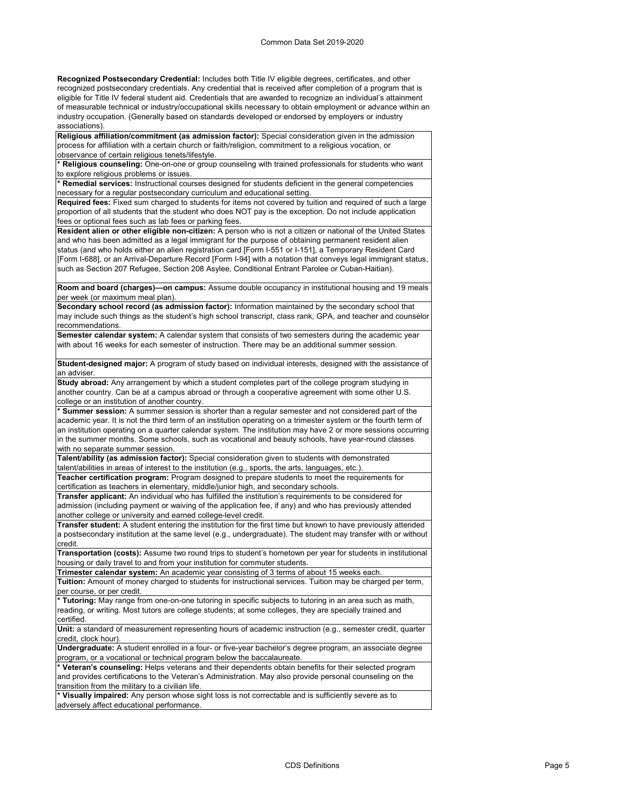**Recognized Postsecondary Credential:** Includes both Title IV eligible degrees, certificates, and other recognized postsecondary credentials. Any credential that is received after completion of a program that is eligible for Title IV federal student aid. Credentials that are awarded to recognize an individual's attainment of measurable technical or industry/occupational skills necessary to obtain employment or advance within an industry occupation. (Generally based on standards developed or endorsed by employers or industry associations).

**Religious affiliation/commitment (as admission factor):** Special consideration given in the admission process for affiliation with a certain church or faith/religion, commitment to a religious vocation, or observance of certain religious tenets/lifestyle.

**\* Religious counseling:** One-on-one or group counseling with trained professionals for students who want to explore religious problems or issues.

**\* Remedial services:** Instructional courses designed for students deficient in the general competencies necessary for a regular postsecondary curriculum and educational setting.

**Required fees:** Fixed sum charged to students for items not covered by tuition and required of such a large proportion of all students that the student who does NOT pay is the exception. Do not include application fees or optional fees such as lab fees or parking fees.

**Resident alien or other eligible non-citizen:** A person who is not a citizen or national of the United States and who has been admitted as a legal immigrant for the purpose of obtaining permanent resident alien status (and who holds either an alien registration card [Form I-551 or I-151], a Temporary Resident Card [Form I-688], or an Arrival-Departure Record [Form I-94] with a notation that conveys legal immigrant status, such as Section 207 Refugee, Section 208 Asylee, Conditional Entrant Parolee or Cuban-Haitian).

**Room and board (charges)—on campus:** Assume double occupancy in institutional housing and 19 meals per week (or maximum meal plan).

**Secondary school record (as admission factor):** Information maintained by the secondary school that may include such things as the student's high school transcript, class rank, GPA, and teacher and counselor recommendations.

**Semester calendar system:** A calendar system that consists of two semesters during the academic year with about 16 weeks for each semester of instruction. There may be an additional summer session.

**Student-designed major:** A program of study based on individual interests, designed with the assistance of an adviser.

**Study abroad:** Any arrangement by which a student completes part of the college program studying in another country. Can be at a campus abroad or through a cooperative agreement with some other U.S. college or an institution of another country.

**\* Summer session:** A summer session is shorter than a regular semester and not considered part of the academic year. It is not the third term of an institution operating on a trimester system or the fourth term of an institution operating on a quarter calendar system. The institution may have 2 or more sessions occurring in the summer months. Some schools, such as vocational and beauty schools, have year-round classes with no separate summer session.

**Talent/ability (as admission factor):** Special consideration given to students with demonstrated talent/abilities in areas of interest to the institution (e.g., sports, the arts, languages, etc.).

**Teacher certification program:** Program designed to prepare students to meet the requirements for certification as teachers in elementary, middle/junior high, and secondary schools.

**Transfer applicant:** An individual who has fulfilled the institution's requirements to be considered for admission (including payment or waiving of the application fee, if any) and who has previously attended another college or university and earned college-level credit.

**Transfer student:** A student entering the institution for the first time but known to have previously attended a postsecondary institution at the same level (e.g., undergraduate). The student may transfer with or without credit.

**Transportation (costs):** Assume two round trips to student's hometown per year for students in institutional housing or daily travel to and from your institution for commuter students.

**Trimester calendar system:** An academic year consisting of 3 terms of about 15 weeks each.

**Tuition:** Amount of money charged to students for instructional services. Tuition may be charged per term, per course, or per credit.

**\* Tutoring:** May range from one-on-one tutoring in specific subjects to tutoring in an area such as math, reading, or writing. Most tutors are college students; at some colleges, they are specially trained and certified.

**Unit:** a standard of measurement representing hours of academic instruction (e.g., semester credit, quarter credit, clock hour).

**Undergraduate:** A student enrolled in a four- or five-year bachelor's degree program, an associate degree program, or a vocational or technical program below the baccalaureate.

**\* Veteran's counseling:** Helps veterans and their dependents obtain benefits for their selected program and provides certifications to the Veteran's Administration. May also provide personal counseling on the transition from the military to a civilian life.

**\* Visually impaired:** Any person whose sight loss is not correctable and is sufficiently severe as to adversely affect educational performance.